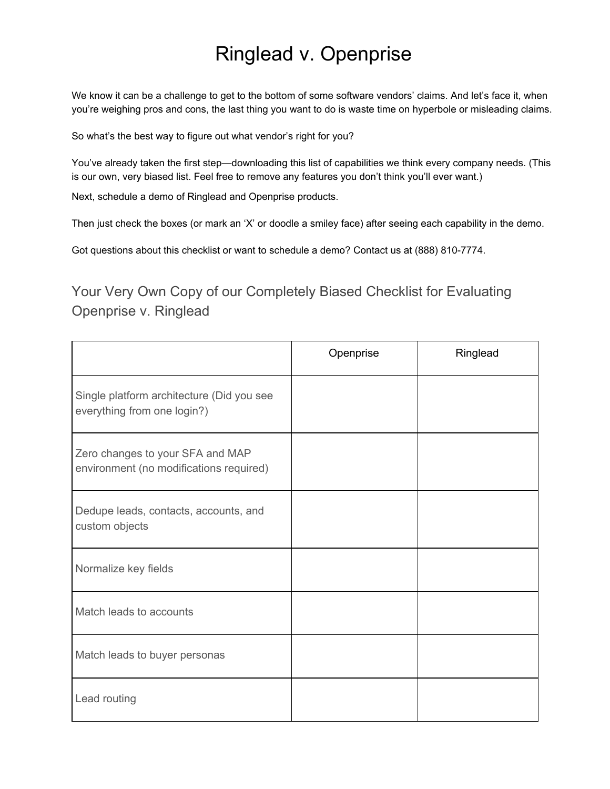## Ringlead v. Openprise

We know it can be a challenge to get to the bottom of some software vendors' claims. And let's face it, when you're weighing pros and cons, the last thing you want to do is waste time on hyperbole or misleading claims.

So what's the best way to figure out what vendor's right for you?

You've already taken the first step—downloading this list of capabilities we think every company needs. (This is our own, very biased list. Feel free to remove any features you don't think you'll ever want.)

Next, schedule a demo of Ringlead and Openprise products.

Then just check the boxes (or mark an 'X' or doodle a smiley face) after seeing each capability in the demo.

Got questions about this checklist or want to schedule a demo? Contact us at (888) 810-7774.

Your Very Own Copy of our Completely Biased Checklist for Evaluating Openprise v. Ringlead

|                                                                             | Openprise | Ringlead |
|-----------------------------------------------------------------------------|-----------|----------|
| Single platform architecture (Did you see<br>everything from one login?)    |           |          |
| Zero changes to your SFA and MAP<br>environment (no modifications required) |           |          |
| Dedupe leads, contacts, accounts, and<br>custom objects                     |           |          |
| Normalize key fields                                                        |           |          |
| Match leads to accounts                                                     |           |          |
| Match leads to buyer personas                                               |           |          |
| Lead routing                                                                |           |          |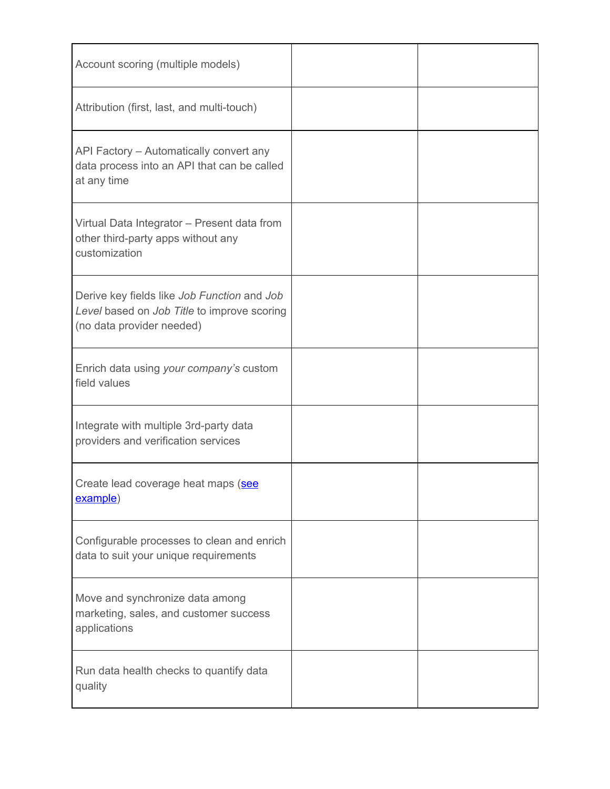| Account scoring (multiple models)                                                                                       |  |
|-------------------------------------------------------------------------------------------------------------------------|--|
| Attribution (first, last, and multi-touch)                                                                              |  |
| API Factory - Automatically convert any<br>data process into an API that can be called<br>at any time                   |  |
| Virtual Data Integrator - Present data from<br>other third-party apps without any<br>customization                      |  |
| Derive key fields like Job Function and Job<br>Level based on Job Title to improve scoring<br>(no data provider needed) |  |
| Enrich data using your company's custom<br>field values                                                                 |  |
| Integrate with multiple 3rd-party data<br>providers and verification services                                           |  |
| Create lead coverage heat maps (see<br>example)                                                                         |  |
| Configurable processes to clean and enrich<br>data to suit your unique requirements                                     |  |
| Move and synchronize data among<br>marketing, sales, and customer success<br>applications                               |  |
| Run data health checks to quantify data<br>quality                                                                      |  |